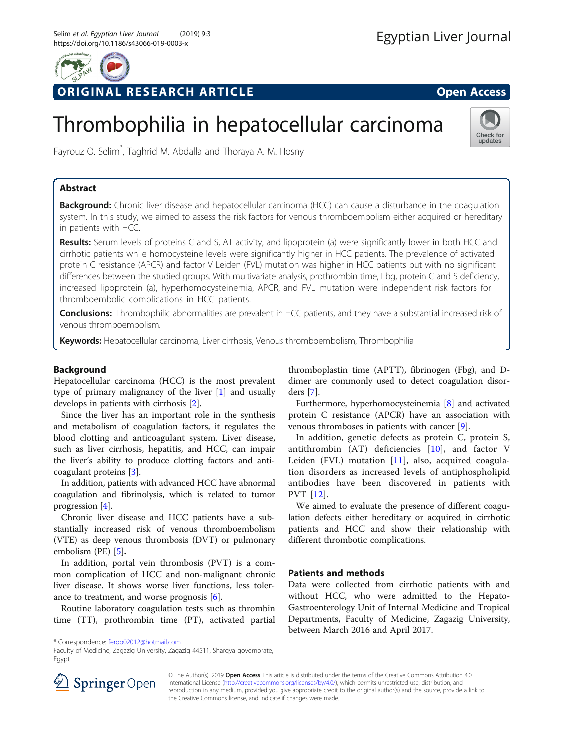

ORIGINAL RESEARCH ARTICLE **External of the Contract Open Access** 

# Thrombophilia in hepatocellular carcinoma



Fayrouz O. Selim\* , Taghrid M. Abdalla and Thoraya A. M. Hosny

# Abstract

Background: Chronic liver disease and hepatocellular carcinoma (HCC) can cause a disturbance in the coagulation system. In this study, we aimed to assess the risk factors for venous thromboembolism either acquired or hereditary in patients with HCC.

Results: Serum levels of proteins C and S, AT activity, and lipoprotein (a) were significantly lower in both HCC and cirrhotic patients while homocysteine levels were significantly higher in HCC patients. The prevalence of activated protein C resistance (APCR) and factor V Leiden (FVL) mutation was higher in HCC patients but with no significant differences between the studied groups. With multivariate analysis, prothrombin time, Fbg, protein C and S deficiency, increased lipoprotein (a), hyperhomocysteinemia, APCR, and FVL mutation were independent risk factors for thromboembolic complications in HCC patients.

**Conclusions:** Thrombophilic abnormalities are prevalent in HCC patients, and they have a substantial increased risk of venous thromboembolism.

Keywords: Hepatocellular carcinoma, Liver cirrhosis, Venous thromboembolism, Thrombophilia

# Background

Hepatocellular carcinoma (HCC) is the most prevalent type of primary malignancy of the liver [[1\]](#page-5-0) and usually develops in patients with cirrhosis [[2](#page-5-0)].

Since the liver has an important role in the synthesis and metabolism of coagulation factors, it regulates the blood clotting and anticoagulant system. Liver disease, such as liver cirrhosis, hepatitis, and HCC, can impair the liver's ability to produce clotting factors and anticoagulant proteins [[3](#page-5-0)].

In addition, patients with advanced HCC have abnormal coagulation and fibrinolysis, which is related to tumor progression [[4\]](#page-5-0).

Chronic liver disease and HCC patients have a substantially increased risk of venous thromboembolism (VTE) as deep venous thrombosis (DVT) or pulmonary embolism (PE) [\[5\]](#page-5-0).

In addition, portal vein thrombosis (PVT) is a common complication of HCC and non-malignant chronic liver disease. It shows worse liver functions, less tolerance to treatment, and worse prognosis [[6\]](#page-5-0).

Routine laboratory coagulation tests such as thrombin time (TT), prothrombin time (PT), activated partial

\* Correspondence: [feroo02012@hotmail.com](mailto:feroo02012@hotmail.com)

Faculty of Medicine, Zagazig University, Zagazig 44511, Sharqya governorate, Egypt

thromboplastin time (APTT), fibrinogen (Fbg), and Ddimer are commonly used to detect coagulation disorders [[7\]](#page-5-0).

Furthermore, hyperhomocysteinemia [[8\]](#page-5-0) and activated protein C resistance (APCR) have an association with venous thromboses in patients with cancer [\[9](#page-5-0)].

In addition, genetic defects as protein C, protein S, antithrombin (AT) deficiencies [[10](#page-5-0)], and factor V Leiden (FVL) mutation  $[11]$  $[11]$ , also, acquired coagulation disorders as increased levels of antiphospholipid antibodies have been discovered in patients with PVT [\[12\]](#page-5-0).

We aimed to evaluate the presence of different coagulation defects either hereditary or acquired in cirrhotic patients and HCC and show their relationship with different thrombotic complications.

# Patients and methods

Data were collected from cirrhotic patients with and without HCC, who were admitted to the Hepato-Gastroenterology Unit of Internal Medicine and Tropical Departments, Faculty of Medicine, Zagazig University, between March 2016 and April 2017.



© The Author(s). 2019 Open Access This article is distributed under the terms of the Creative Commons Attribution 4.0 International License ([http://creativecommons.org/licenses/by/4.0/\)](http://creativecommons.org/licenses/by/4.0/), which permits unrestricted use, distribution, and reproduction in any medium, provided you give appropriate credit to the original author(s) and the source, provide a link to the Creative Commons license, and indicate if changes were made.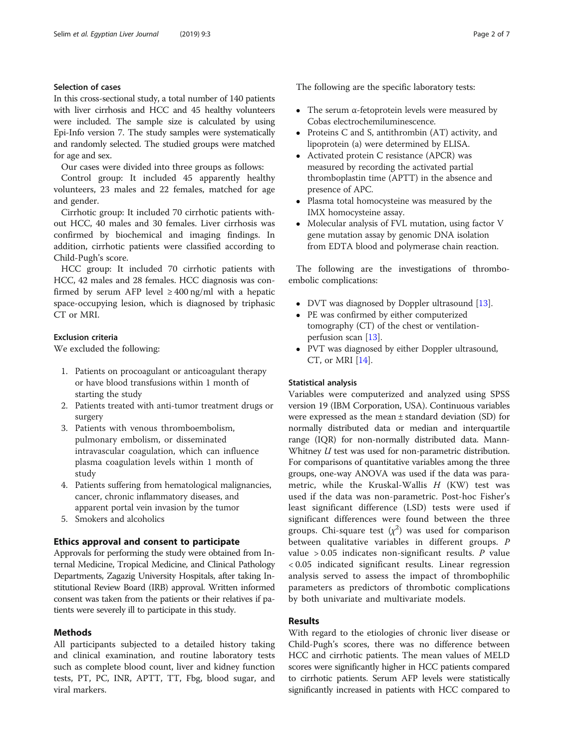## Selection of cases

In this cross-sectional study, a total number of 140 patients with liver cirrhosis and HCC and 45 healthy volunteers were included. The sample size is calculated by using Epi-Info version 7. The study samples were systematically and randomly selected. The studied groups were matched for age and sex.

Our cases were divided into three groups as follows:

Control group: It included 45 apparently healthy volunteers, 23 males and 22 females, matched for age and gender.

Cirrhotic group: It included 70 cirrhotic patients without HCC, 40 males and 30 females. Liver cirrhosis was confirmed by biochemical and imaging findings. In addition, cirrhotic patients were classified according to Child-Pugh's score.

HCC group: It included 70 cirrhotic patients with HCC, 42 males and 28 females. HCC diagnosis was confirmed by serum AFP level  $\geq 400$  ng/ml with a hepatic space-occupying lesion, which is diagnosed by triphasic CT or MRI.

## Exclusion criteria

We excluded the following:

- 1. Patients on procoagulant or anticoagulant therapy or have blood transfusions within 1 month of starting the study
- 2. Patients treated with anti-tumor treatment drugs or surgery
- 3. Patients with venous thromboembolism, pulmonary embolism, or disseminated intravascular coagulation, which can influence plasma coagulation levels within 1 month of study
- 4. Patients suffering from hematological malignancies, cancer, chronic inflammatory diseases, and apparent portal vein invasion by the tumor
- 5. Smokers and alcoholics

## Ethics approval and consent to participate

Approvals for performing the study were obtained from Internal Medicine, Tropical Medicine, and Clinical Pathology Departments, Zagazig University Hospitals, after taking Institutional Review Board (IRB) approval. Written informed consent was taken from the patients or their relatives if patients were severely ill to participate in this study.

## Methods

All participants subjected to a detailed history taking and clinical examination, and routine laboratory tests such as complete blood count, liver and kidney function tests, PT, PC, INR, APTT, TT, Fbg, blood sugar, and viral markers.

The following are the specific laboratory tests:

- The serum  $\alpha$ -fetoprotein levels were measured by Cobas electrochemiluminescence.
- Proteins C and S, antithrombin (AT) activity, and lipoprotein (a) were determined by ELISA.
- Activated protein C resistance (APCR) was measured by recording the activated partial thromboplastin time (APTT) in the absence and presence of APC.
- Plasma total homocysteine was measured by the IMX homocysteine assay.
- Molecular analysis of FVL mutation, using factor V gene mutation assay by genomic DNA isolation from EDTA blood and polymerase chain reaction.

The following are the investigations of thromboembolic complications:

- DVT was diagnosed by Doppler ultrasound [[13](#page-5-0)].<br>• PE was confirmed by either computerized
- PE was confirmed by either computerized tomography (CT) of the chest or ventilationperfusion scan [[13\]](#page-5-0).
- PVT was diagnosed by either Doppler ultrasound, CT, or MRI [[14](#page-5-0)].

## Statistical analysis

Variables were computerized and analyzed using SPSS version 19 (IBM Corporation, USA). Continuous variables were expressed as the mean ± standard deviation (SD) for normally distributed data or median and interquartile range (IQR) for non-normally distributed data. Mann-Whitney *U* test was used for non-parametric distribution. For comparisons of quantitative variables among the three groups, one-way ANOVA was used if the data was parametric, while the Kruskal-Wallis  $H$  (KW) test was used if the data was non-parametric. Post-hoc Fisher's least significant difference (LSD) tests were used if significant differences were found between the three groups. Chi-square test  $(\chi^2)$  was used for comparison between qualitative variables in different groups. P value  $> 0.05$  indicates non-significant results. P value < 0.05 indicated significant results. Linear regression analysis served to assess the impact of thrombophilic parameters as predictors of thrombotic complications by both univariate and multivariate models.

## Results

With regard to the etiologies of chronic liver disease or Child-Pugh's scores, there was no difference between HCC and cirrhotic patients. The mean values of MELD scores were significantly higher in HCC patients compared to cirrhotic patients. Serum AFP levels were statistically significantly increased in patients with HCC compared to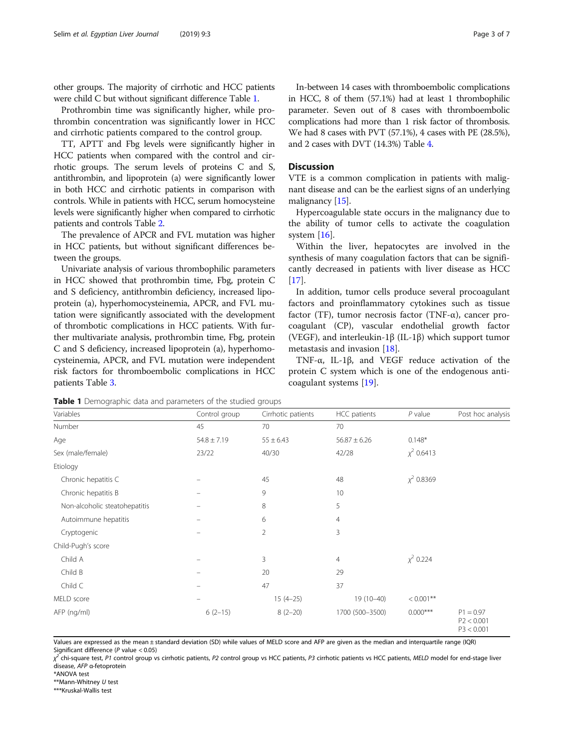other groups. The majority of cirrhotic and HCC patients were child C but without significant difference Table 1.

Prothrombin time was significantly higher, while prothrombin concentration was significantly lower in HCC and cirrhotic patients compared to the control group.

TT, APTT and Fbg levels were significantly higher in HCC patients when compared with the control and cirrhotic groups. The serum levels of proteins C and S, antithrombin, and lipoprotein (a) were significantly lower in both HCC and cirrhotic patients in comparison with controls. While in patients with HCC, serum homocysteine levels were significantly higher when compared to cirrhotic patients and controls Table [2.](#page-3-0)

The prevalence of APCR and FVL mutation was higher in HCC patients, but without significant differences between the groups.

Univariate analysis of various thrombophilic parameters in HCC showed that prothrombin time, Fbg, protein C and S deficiency, antithrombin deficiency, increased lipoprotein (a), hyperhomocysteinemia, APCR, and FVL mutation were significantly associated with the development of thrombotic complications in HCC patients. With further multivariate analysis, prothrombin time, Fbg, protein C and S deficiency, increased lipoprotein (a), hyperhomocysteinemia, APCR, and FVL mutation were independent risk factors for thromboembolic complications in HCC patients Table [3.](#page-4-0)

In-between 14 cases with thromboembolic complications in HCC, 8 of them (57.1%) had at least 1 thrombophilic parameter. Seven out of 8 cases with thromboembolic complications had more than 1 risk factor of thrombosis. We had 8 cases with PVT (57.1%), 4 cases with PE (28.5%), and 2 cases with DVT (14.3%) Table [4.](#page-4-0)

## **Discussion**

VTE is a common complication in patients with malignant disease and can be the earliest signs of an underlying malignancy [\[15\]](#page-5-0).

Hypercoagulable state occurs in the malignancy due to the ability of tumor cells to activate the coagulation system [[16](#page-5-0)].

Within the liver, hepatocytes are involved in the synthesis of many coagulation factors that can be significantly decreased in patients with liver disease as HCC [[17\]](#page-5-0).

In addition, tumor cells produce several procoagulant factors and proinflammatory cytokines such as tissue factor (TF), tumor necrosis factor (TNF- $\alpha$ ), cancer procoagulant (CP), vascular endothelial growth factor (VEGF), and interleukin-1β (IL-1β) which support tumor metastasis and invasion [\[18\]](#page-5-0).

TNF-α, IL-1β, and VEGF reduce activation of the protein C system which is one of the endogenous anticoagulant systems [[19\]](#page-5-0).

Table 1 Demographic data and parameters of the studied groups

Values are expressed as the mean ± standard deviation (SD) while values of MELD score and AFP are given as the median and interquartile range (IQR) Significant difference (P value < 0.05)

χ<sup>2</sup> chi-square test, P1 control group vs cirrhotic patients, P2 control group vs HCC patients, P3 cirrhotic patients vs HCC patients, MELD model for end-stage liver<br>disease, 4FP α-fetoprotein disease, AFP <sup>α</sup>-fetoprotein

\*ANOVA test

\*\*Mann-Whitney U test

\*\*\*Kruskal-Wallis test

| Variables                     | Control group   | Cirrhotic patients | HCC patients     | $P$ value       | Post hoc analysis                       |
|-------------------------------|-----------------|--------------------|------------------|-----------------|-----------------------------------------|
| Number                        | 45              | 70                 | 70               |                 |                                         |
| Age                           | $54.8 \pm 7.19$ | $55 \pm 6.43$      | $56.87 \pm 6.26$ | $0.148*$        |                                         |
| Sex (male/female)             | 23/22           | 40/30              | 42/28            | $\chi^2$ 0.6413 |                                         |
| Etiology                      |                 |                    |                  |                 |                                         |
| Chronic hepatitis C           |                 | 45                 | 48               | $\chi^2$ 0.8369 |                                         |
| Chronic hepatitis B           |                 | 9                  | 10               |                 |                                         |
| Non-alcoholic steatohepatitis |                 | 8                  | 5                |                 |                                         |
| Autoimmune hepatitis          |                 | 6                  | $\overline{4}$   |                 |                                         |
| Cryptogenic                   |                 | 2                  | 3                |                 |                                         |
| Child-Pugh's score            |                 |                    |                  |                 |                                         |
| Child A                       |                 | 3                  | $\overline{4}$   | $\chi^2$ 0.224  |                                         |
| Child B                       |                 | 20                 | 29               |                 |                                         |
| Child C                       |                 | 47                 | 37               |                 |                                         |
| MELD score                    |                 | $15(4-25)$         | 19 (10-40)       | $< 0.001$ **    |                                         |
| AFP (ng/ml)                   | $6(2-15)$       | $8(2-20)$          | 1700 (500-3500)  | $0.000***$      | $P1 = 0.97$<br>P2 < 0.001<br>P3 < 0.001 |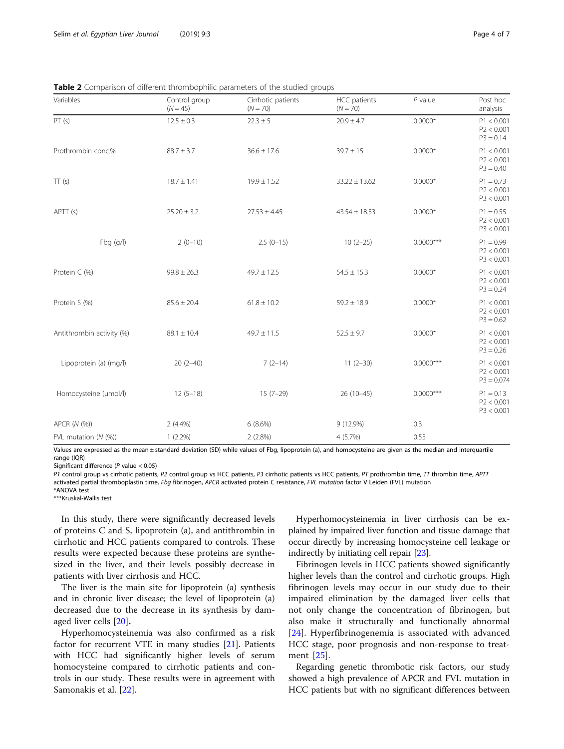| Variables                 | Control group<br>$(N = 45)$ | Cirrhotic patients<br>$(N = 70)$ | HCC patients<br>$(N = 70)$ | $P$ value    | Post hoc<br>analysis                     |
|---------------------------|-----------------------------|----------------------------------|----------------------------|--------------|------------------------------------------|
| PT(s)                     | $12.5 \pm 0.3$              | $22.3 \pm 5$                     | $20.9 \pm 4.7$             | $0.0000*$    | P1 < 0.001<br>P2 < 0.001<br>$P3 = 0.14$  |
| Prothrombin conc.%        | $88.7 \pm 3.7$              | $36.6 \pm 17.6$                  | $39.7 \pm 15$              | $0.0000*$    | P1 < 0.001<br>P2 < 0.001<br>$P3 = 0.40$  |
| TT(s)                     | $18.7 \pm 1.41$             | $19.9 \pm 1.52$                  | $33.22 \pm 13.62$          | $0.0000*$    | $P1 = 0.73$<br>P2 < 0.001<br>P3 < 0.001  |
| APT(s)                    | $25.20 \pm 3.2$             | $27.53 \pm 4.45$                 | $43.54 \pm 18.53$          | $0.0000*$    | $P1 = 0.55$<br>P2 < 0.001<br>P3 < 0.001  |
| Fbg (g/l)                 | $2(0-10)$                   | $2.5(0-15)$                      | $10(2-25)$                 | $0.0000***$  | $P1 = 0.99$<br>P2 < 0.001<br>P3 < 0.001  |
| Protein C (%)             | $99.8 \pm 26.3$             | $49.7 \pm 12.5$                  | $54.5 \pm 15.3$            | $0.0000*$    | P1 < 0.001<br>P2 < 0.001<br>$P3 = 0.24$  |
| Protein S (%)             | $85.6 \pm 20.4$             | $61.8 \pm 10.2$                  | $59.2 \pm 18.9$            | $0.0000*$    | P1 < 0.001<br>P2 < 0.001<br>$P3 = 0.62$  |
| Antithrombin activity (%) | $88.1 \pm 10.4$             | $49.7 \pm 11.5$                  | $52.5 \pm 9.7$             | $0.0000*$    | P1 < 0.001<br>P2 < 0.001<br>$P3 = 0.26$  |
| Lipoprotein (a) (mg/l)    | $20(2-40)$                  | $7(2-14)$                        | $11(2-30)$                 | $0.0000$ *** | P1 < 0.001<br>P2 < 0.001<br>$P3 = 0.074$ |
| Homocysteine (µmol/l)     | $12(5-18)$                  | $15(7-29)$                       | $26(10-45)$                | $0.0000***$  | $P1 = 0.13$<br>P2 < 0.001<br>P3 < 0.001  |
| APCR (N (%))              | $2(4.4\%)$                  | 6(8.6%)                          | 9 (12.9%)                  | 0.3          |                                          |
| FVL mutation $(N$ $(\%)$  | $1(2.2\%)$                  | 2(2.8%)                          | 4(5.7%)                    | 0.55         |                                          |

<span id="page-3-0"></span>Table 2 Comparison of different thrombophilic parameters of the studied groups

Values are expressed as the mean ± standard deviation (SD) while values of Fbg, lipoprotein (a), and homocysteine are given as the median and interquartile range (IQR)

Significant difference (P value < 0.05)

P1 control group vs cirrhotic patients, P2 control group vs HCC patients, P3 cirrhotic patients vs HCC patients, PT prothrombin time, TT thrombin time, APTT activated partial thromboplastin time, Fbg fibrinogen, APCR activated protein C resistance, FVL mutation factor V Leiden (FVL) mutation

\*ANOVA test

\*\*\*Kruskal-Wallis test

In this study, there were significantly decreased levels of proteins C and S, lipoprotein (a), and antithrombin in cirrhotic and HCC patients compared to controls. These results were expected because these proteins are synthesized in the liver, and their levels possibly decrease in patients with liver cirrhosis and HCC.

The liver is the main site for lipoprotein (a) synthesis and in chronic liver disease; the level of lipoprotein (a) decreased due to the decrease in its synthesis by damaged liver cells [[20\]](#page-5-0).

Hyperhomocysteinemia was also confirmed as a risk factor for recurrent VTE in many studies [[21\]](#page-5-0). Patients with HCC had significantly higher levels of serum homocysteine compared to cirrhotic patients and controls in our study. These results were in agreement with Samonakis et al. [\[22\]](#page-5-0).

Hyperhomocysteinemia in liver cirrhosis can be explained by impaired liver function and tissue damage that occur directly by increasing homocysteine cell leakage or indirectly by initiating cell repair [\[23\]](#page-6-0).

Fibrinogen levels in HCC patients showed significantly higher levels than the control and cirrhotic groups. High fibrinogen levels may occur in our study due to their impaired elimination by the damaged liver cells that not only change the concentration of fibrinogen, but also make it structurally and functionally abnormal [[24\]](#page-6-0). Hyperfibrinogenemia is associated with advanced HCC stage, poor prognosis and non-response to treatment [\[25](#page-6-0)].

Regarding genetic thrombotic risk factors, our study showed a high prevalence of APCR and FVL mutation in HCC patients but with no significant differences between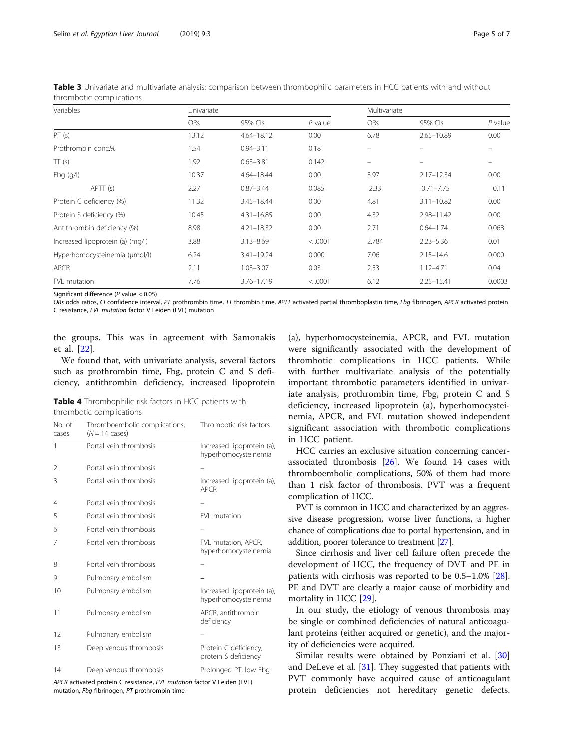| Variables                        | Univariate |                |           |            | Multivariate   |           |  |
|----------------------------------|------------|----------------|-----------|------------|----------------|-----------|--|
|                                  | <b>ORs</b> | 95% Cls        | $P$ value | <b>ORs</b> | 95% Cls        | $P$ value |  |
| PT(s)                            | 13.12      | $4.64 - 18.12$ | 0.00      | 6.78       | $2.65 - 10.89$ | 0.00      |  |
| Prothrombin conc.%               | 1.54       | $0.94 - 3.11$  | 0.18      | $\equiv$   |                |           |  |
| TT(s)                            | 1.92       | $0.63 - 3.81$  | 0.142     |            |                |           |  |
| Fbg $(q/l)$                      | 10.37      | 4.64-18.44     | 0.00      | 3.97       | $2.17 - 12.34$ | 0.00      |  |
| APTT (s)                         | 2.27       | $0.87 - 3.44$  | 0.085     | 2.33       | $0.71 - 7.75$  | 0.11      |  |
| Protein C deficiency (%)         | 11.32      | $3.45 - 18.44$ | 0.00      | 4.81       | $3.11 - 10.82$ | 0.00      |  |
| Protein S deficiency (%)         | 10.45      | $4.31 - 16.85$ | 0.00      | 4.32       | 2.98-11.42     | 0.00      |  |
| Antithrombin deficiency (%)      | 8.98       | $4.21 - 18.32$ | 0.00      | 2.71       | $0.64 - 1.74$  | 0.068     |  |
| Increased lipoprotein (a) (mg/l) | 3.88       | $3.13 - 8.69$  | < .0001   | 2.784      | $2.23 - 5.36$  | 0.01      |  |
| Hyperhomocysteinemia (µmol/l)    | 6.24       | $3.41 - 19.24$ | 0.000     | 7.06       | $2.15 - 14.6$  | 0.000     |  |
| <b>APCR</b>                      | 2.11       | $1.03 - 3.07$  | 0.03      | 2.53       | $1.12 - 4.71$  | 0.04      |  |
| FVL mutation                     | 7.76       | 3.76-17.19     | < .0001   | 6.12       | $2.25 - 15.41$ | 0.0003    |  |

<span id="page-4-0"></span>Table 3 Univariate and multivariate analysis: comparison between thrombophilic parameters in HCC patients with and without thrombotic complications

Significant difference (P value < 0.05)

ORs odds ratios, CI confidence interval, PT prothrombin time, TT thrombin time, APTT activated partial thromboplastin time, Fbq fibrinogen, APCR activated protein C resistance, FVL mutation factor V Leiden (FVL) mutation

the groups. This was in agreement with Samonakis et al. [[22\]](#page-5-0).

We found that, with univariate analysis, several factors such as prothrombin time, Fbg, protein C and S deficiency, antithrombin deficiency, increased lipoprotein

| <b>Table 4</b> Thrombophilic risk factors in HCC patients with |  |  |
|----------------------------------------------------------------|--|--|
| thrombotic complications                                       |  |  |

| No. of<br>cases | Thromboembolic complications,<br>$(N = 14 \text{ cases})$ | Thrombotic risk factors                            |
|-----------------|-----------------------------------------------------------|----------------------------------------------------|
| 1               | Portal vein thrombosis                                    | Increased lipoprotein (a),<br>hyperhomocysteinemia |
| 2               | Portal vein thrombosis                                    |                                                    |
| 3               | Portal vein thrombosis                                    | Increased lipoprotein (a),<br><b>APCR</b>          |
| 4               | Portal vein thrombosis                                    |                                                    |
| 5               | Portal vein thrombosis                                    | FVL mutation                                       |
| 6               | Portal vein thrombosis                                    |                                                    |
| 7               | Portal vein thrombosis                                    | FVL mutation, APCR,<br>hyperhomocysteinemia        |
| 8               | Portal vein thrombosis                                    |                                                    |
| 9               | Pulmonary embolism                                        |                                                    |
| 10              | Pulmonary embolism                                        | Increased lipoprotein (a),<br>hyperhomocysteinemia |
| 11              | Pulmonary embolism                                        | APCR, antithrombin<br>deficiency                   |
| 12              | Pulmonary embolism                                        |                                                    |
| 13              | Deep venous thrombosis                                    | Protein C deficiency,<br>protein S deficiency      |
| 14              | Deep venous thrombosis                                    | Prolonged PT, low Fbg                              |

APCR activated protein C resistance, FVL mutation factor V Leiden (FVL) mutation, Fbg fibrinogen, PT prothrombin time

(a), hyperhomocysteinemia, APCR, and FVL mutation were significantly associated with the development of thrombotic complications in HCC patients. While with further multivariate analysis of the potentially important thrombotic parameters identified in univariate analysis, prothrombin time, Fbg, protein C and S deficiency, increased lipoprotein (a), hyperhomocysteinemia, APCR, and FVL mutation showed independent significant association with thrombotic complications in HCC patient.

HCC carries an exclusive situation concerning cancerassociated thrombosis [[26\]](#page-6-0). We found 14 cases with thromboembolic complications, 50% of them had more than 1 risk factor of thrombosis. PVT was a frequent complication of HCC.

PVT is common in HCC and characterized by an aggressive disease progression, worse liver functions, a higher chance of complications due to portal hypertension, and in addition, poorer tolerance to treatment [[27](#page-6-0)].

Since cirrhosis and liver cell failure often precede the development of HCC, the frequency of DVT and PE in patients with cirrhosis was reported to be 0.5–1.0% [\[28](#page-6-0)]. PE and DVT are clearly a major cause of morbidity and mortality in HCC [[29\]](#page-6-0).

In our study, the etiology of venous thrombosis may be single or combined deficiencies of natural anticoagulant proteins (either acquired or genetic), and the majority of deficiencies were acquired.

Similar results were obtained by Ponziani et al. [[30](#page-6-0)] and DeLeve et al. [\[31\]](#page-6-0). They suggested that patients with PVT commonly have acquired cause of anticoagulant protein deficiencies not hereditary genetic defects.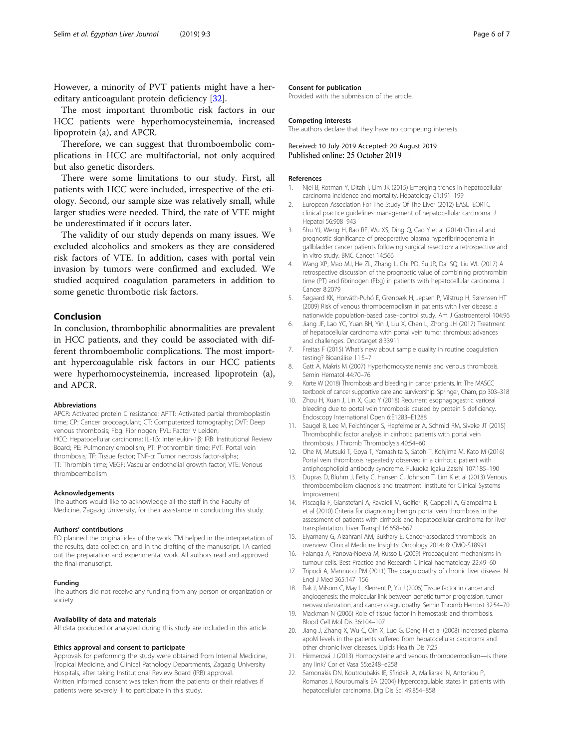<span id="page-5-0"></span>However, a minority of PVT patients might have a hereditary anticoagulant protein deficiency [[32](#page-6-0)].

The most important thrombotic risk factors in our HCC patients were hyperhomocysteinemia, increased lipoprotein (a), and APCR.

Therefore, we can suggest that thromboembolic complications in HCC are multifactorial, not only acquired but also genetic disorders.

There were some limitations to our study. First, all patients with HCC were included, irrespective of the etiology. Second, our sample size was relatively small, while larger studies were needed. Third, the rate of VTE might be underestimated if it occurs later.

The validity of our study depends on many issues. We excluded alcoholics and smokers as they are considered risk factors of VTE. In addition, cases with portal vein invasion by tumors were confirmed and excluded. We studied acquired coagulation parameters in addition to some genetic thrombotic risk factors.

## Conclusion

In conclusion, thrombophilic abnormalities are prevalent in HCC patients, and they could be associated with different thromboembolic complications. The most important hypercoagulable risk factors in our HCC patients were hyperhomocysteinemia, increased lipoprotein (a), and APCR.

#### Abbreviations

APCR: Activated protein C resistance; APTT: Activated partial thromboplastin time; CP: Cancer procoagulant; CT: Computerized tomography; DVT: Deep venous thrombosis; Fbg: Fibrinogen; FVL: Factor V Leiden; HCC: Hepatocellular carcinoma; IL-1β: Interleukin-1β; IRB: Institutional Review Board; PE: Pulmonary embolism; PT: Prothrombin time; PVT: Portal vein thrombosis; TF: Tissue factor; TNF-α: Tumor necrosis factor-alpha; TT: Thrombin time; VEGF: Vascular endothelial growth factor; VTE: Venous thromboembolism

#### Acknowledgements

The authors would like to acknowledge all the staff in the Faculty of Medicine, Zagazig University, for their assistance in conducting this study.

#### Authors' contributions

FO planned the original idea of the work. TM helped in the interpretation of the results, data collection, and in the drafting of the manuscript. TA carried out the preparation and experimental work. All authors read and approved the final manuscript.

#### Funding

The authors did not receive any funding from any person or organization or society.

## Availability of data and materials

All data produced or analyzed during this study are included in this article.

#### Ethics approval and consent to participate

Approvals for performing the study were obtained from Internal Medicine, Tropical Medicine, and Clinical Pathology Departments, Zagazig University Hospitals, after taking Institutional Review Board (IRB) approval. Written informed consent was taken from the patients or their relatives if patients were severely ill to participate in this study.

#### Consent for publication

Provided with the submission of the article.

#### Competing interests

The authors declare that they have no competing interests.

## Received: 10 July 2019 Accepted: 20 August 2019 Published online: 25 October 2019

#### References

- 1. Njei B, Rotman Y, Ditah I, Lim JK (2015) Emerging trends in hepatocellular carcinoma incidence and mortality. Hepatology 61:191–199
- 2. European Association For The Study Of The Liver (2012) EASL–EORTC clinical practice guidelines: management of hepatocellular carcinoma. J Hepatol 56:908–943
- 3. Shu YJ, Weng H, Bao RF, Wu XS, Ding Q, Cao Y et al (2014) Clinical and prognostic significance of preoperative plasma hyperfibrinogenemia in gallbladder cancer patients following surgical resection: a retrospective and in vitro study. BMC Cancer 14:566
- 4. Wang XP, Mao MJ, He ZL, Zhang L, Chi PD, Su JR, Dai SQ, Liu WL (2017) A retrospective discussion of the prognostic value of combining prothrombin time (PT) and fibrinogen (Fbg) in patients with hepatocellular carcinoma. J Cancer 8:2079
- 5. Søgaard KK, Horváth-Puhó E, Grønbæk H, Jepsen P, Vilstrup H, Sørensen HT (2009) Risk of venous thromboembolism in patients with liver disease: a nationwide population-based case–control study. Am J Gastroenterol 104:96
- 6. Jiang JF, Lao YC, Yuan BH, Yin J, Liu X, Chen L, Zhong JH (2017) Treatment of hepatocellular carcinoma with portal vein tumor thrombus: advances and challenges. Oncotarget 8:33911
- 7. Freitas F (2015) What's new about sample quality in routine coagulation testing? Bioanálise 11:5–7
- 8. Gatt A, Makris M (2007) Hyperhomocysteinemia and venous thrombosis. Semin Hematol 44:70–76
- 9. Korte W (2018) Thrombosis and bleeding in cancer patients. In: The MASCC textbook of cancer supportive care and survivorship. Springer, Cham, pp 303–318
- 10. Zhou H, Xuan J, Lin X, Guo Y (2018) Recurrent esophagogastric variceal bleeding due to portal vein thrombosis caused by protein S deficiency. Endoscopy International Open 6:E1283–E1288
- 11. Saugel B, Lee M, Feichtinger S, Hapfelmeier A, Schmid RM, Siveke JT (2015) Thrombophilic factor analysis in cirrhotic patients with portal vein thrombosis. J Thromb Thrombolysis 40:54–60
- 12. Ohe M, Mutsuki T, Goya T, Yamashita S, Satoh T, Kohjima M, Kato M (2016) Portal vein thrombosis repeatedly observed in a cirrhotic patient with antiphospholipid antibody syndrome. Fukuoka Igaku Zasshi 107:185–190
- 13. Dupras D, Bluhm J, Felty C, Hansen C, Johnson T, Lim K et al (2013) Venous thromboembolism diagnosis and treatment. Institute for Clinical Systems Improvement
- 14. Piscaglia F, Gianstefani A, Ravaioli M, Golfieri R, Cappelli A, Giampalma E et al (2010) Criteria for diagnosing benign portal vein thrombosis in the assessment of patients with cirrhosis and hepatocellular carcinoma for liver transplantation. Liver Transpl 16:658–667
- 15. Elyamany G, Alzahrani AM, Bukhary E. Cancer-associated thrombosis: an overview. Clinical Medicine Insights: Oncology 2014; 8: CMO-S18991
- 16. Falanga A, Panova-Noeva M, Russo L (2009) Procoagulant mechanisms in tumour cells. Best Practice and Research Clinical haematology 22:49–60
- 17. Tripodi A, Mannucci PM (2011) The coagulopathy of chronic liver disease. N Engl J Med 365:147–156
- 18. Rak J, Milsom C, May L, Klement P, Yu J (2006) Tissue factor in cancer and angiogenesis: the molecular link between genetic tumor progression, tumor neovascularization, and cancer coagulopathy. Semin Thromb Hemost 32:54–70
- 19. Mackman N (2006) Role of tissue factor in hemostasis and thrombosis. Blood Cell Mol Dis 36:104–107
- 20. Jiang J, Zhang X, Wu C, Qin X, Luo G, Deng H et al (2008) Increased plasma apoM levels in the patients suffered from hepatocellular carcinoma and other chronic liver diseases. Lipids Health Dis 7:25
- 21. Hirmerová J (2013) Homocysteine and venous thromboembolism—is there any link? Cor et Vasa 55:e248–e258
- 22. Samonakis DN, Koutroubakis IE, Sfiridaki A, Malliaraki N, Antoniou P, Romanos J, Kouroumalis EA (2004) Hypercoagulable states in patients with hepatocellular carcinoma. Dig Dis Sci 49:854–858